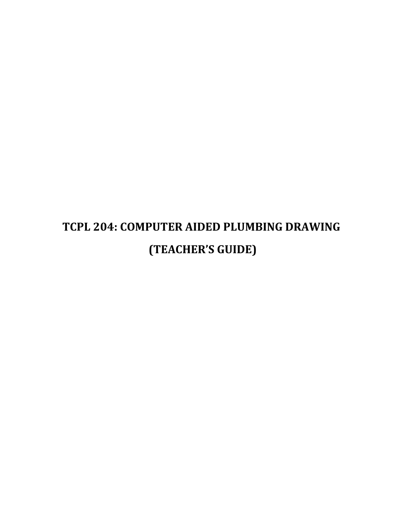# **TCPL 204: COMPUTER AIDED PLUMBING DRAWING (TEACHER'S GUIDE)**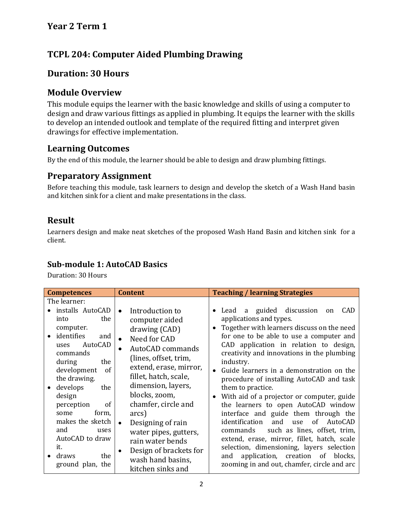# **Year 2 Term 1**

# **TCPL 204: Computer Aided Plumbing Drawing**

# **Duration: 30 Hours**

## **Module Overview**

This module equips the learner with the basic knowledge and skills of using a computer to design and draw various fittings as applied in plumbing. It equips the learner with the skills to develop an intended outlook and template of the required fitting and interpret given drawings for effective implementation.

## **Learning Outcomes**

By the end of this module, the learner should be able to design and draw plumbing fittings.

# **Preparatory Assignment**

Before teaching this module, task learners to design and develop the sketch of a Wash Hand basin and kitchen sink for a client and make presentations in the class.

# **Result**

Learners design and make neat sketches of the proposed Wash Hand Basin and kitchen sink for a client.

#### **Sub-module 1: AutoCAD Basics**

Duration: 30 Hours

| <b>Competences</b>                                                                                                                                                     | <b>Content</b>                                                                                                                                                                                                 | <b>Teaching / learning Strategies</b>                                                                                                                                                                                                                                                                                                                                                                                                                                                                                                                                                                                                                                                                                                                                |
|------------------------------------------------------------------------------------------------------------------------------------------------------------------------|----------------------------------------------------------------------------------------------------------------------------------------------------------------------------------------------------------------|----------------------------------------------------------------------------------------------------------------------------------------------------------------------------------------------------------------------------------------------------------------------------------------------------------------------------------------------------------------------------------------------------------------------------------------------------------------------------------------------------------------------------------------------------------------------------------------------------------------------------------------------------------------------------------------------------------------------------------------------------------------------|
| The learner:                                                                                                                                                           |                                                                                                                                                                                                                |                                                                                                                                                                                                                                                                                                                                                                                                                                                                                                                                                                                                                                                                                                                                                                      |
| installs AutoCAD<br>the<br>into<br>computer.<br>identifies<br>and<br>AutoCAD<br>uses<br>commands<br>during<br>the<br>development<br><sub>of</sub>                      | Introduction to<br>$\bullet$<br>computer aided<br>drawing (CAD)<br>Need for CAD<br>$\bullet$<br>AutoCAD commands<br>(lines, offset, trim,<br>extend, erase, mirror,<br>fillet, hatch, scale,                   | Lead a guided discussion<br><b>CAD</b><br>on<br>applications and types.<br>Together with learners discuss on the need<br>$\bullet$<br>for one to be able to use a computer and<br>CAD application in relation to design,<br>creativity and innovations in the plumbing<br>industry.<br>Guide learners in a demonstration on the<br>procedure of installing AutoCAD and task<br>them to practice.<br>With aid of a projector or computer, guide<br>the learners to open AutoCAD window<br>interface and guide them through the<br>identification<br>and<br>of<br>AutoCAD<br>use<br>such as lines, offset, trim,<br>commands<br>extend, erase, mirror, fillet, hatch, scale<br>selection, dimensioning, layers selection<br>application, creation<br>of blocks,<br>and |
| the drawing.<br>develops<br>the<br>design<br>perception<br><sub>of</sub><br>form,<br>some<br>makes the sketch<br>and<br>uses<br>AutoCAD to draw<br>it.<br>draws<br>the | dimension, layers,<br>blocks, zoom,<br>chamfer, circle and<br>arcs)<br>Designing of rain<br>$\bullet$<br>water pipes, gutters,<br>rain water bends<br>Design of brackets for<br>$\bullet$<br>wash hand basins, |                                                                                                                                                                                                                                                                                                                                                                                                                                                                                                                                                                                                                                                                                                                                                                      |
| ground plan, the                                                                                                                                                       | kitchen sinks and                                                                                                                                                                                              | zooming in and out, chamfer, circle and arc                                                                                                                                                                                                                                                                                                                                                                                                                                                                                                                                                                                                                                                                                                                          |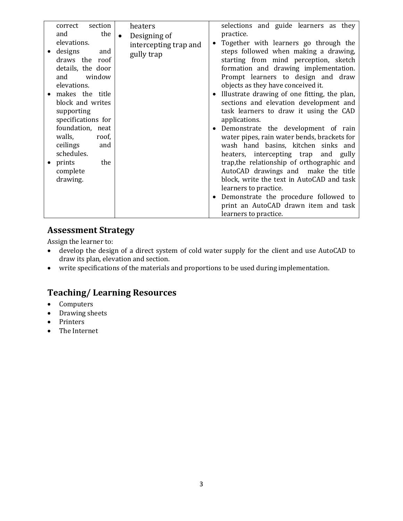| correct section<br>the<br>and<br>elevations.<br>designs<br>and<br>draws the roof<br>details, the door<br>and window<br>elevations.<br>makes the title<br>block and writes<br>supporting<br>specifications for | heaters<br>$\bullet$<br>Designing of<br>intercepting trap and<br>gully trap | selections and guide learners as they<br>practice.<br>Together with learners go through the<br>$\bullet$<br>steps followed when making a drawing,<br>starting from mind perception, sketch<br>formation and drawing implementation.<br>Prompt learners to design and draw<br>objects as they have conceived it.<br>Illustrate drawing of one fitting, the plan,<br>$\bullet$<br>sections and elevation development and<br>task learners to draw it using the CAD |
|---------------------------------------------------------------------------------------------------------------------------------------------------------------------------------------------------------------|-----------------------------------------------------------------------------|------------------------------------------------------------------------------------------------------------------------------------------------------------------------------------------------------------------------------------------------------------------------------------------------------------------------------------------------------------------------------------------------------------------------------------------------------------------|
| foundation, neat<br>walls,<br>roof,<br>ceilings<br>and<br>schedules.<br>prints<br>the<br>complete<br>drawing.                                                                                                 |                                                                             | applications.<br>Demonstrate the development of rain<br>$\bullet$<br>water pipes, rain water bends, brackets for<br>wash hand basins, kitchen sinks and<br>heaters, intercepting trap and gully<br>trap, the relationship of orthographic and<br>AutoCAD drawings and make the title<br>block, write the text in AutoCAD and task<br>learners to practice.<br>Demonstrate the procedure followed to<br>$\bullet$<br>print an AutoCAD drawn item and task         |

## **Assessment Strategy**

Assign the learner to:

- develop the design of a direct system of cold water supply for the client and use AutoCAD to draw its plan, elevation and section.
- write specifications of the materials and proportions to be used during implementation.

# **Teaching/ Learning Resources**

- Computers
- Drawing sheets
- Printers
- The Internet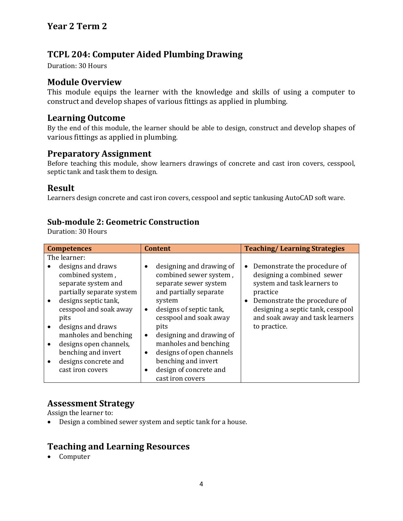# **TCPL 204: Computer Aided Plumbing Drawing**

Duration: 30 Hours

# **Module Overview**

This module equips the learner with the knowledge and skills of using a computer to construct and develop shapes of various fittings as applied in plumbing.

#### **Learning Outcome**

By the end of this module, the learner should be able to design, construct and develop shapes of various fittings as applied in plumbing.

#### **Preparatory Assignment**

Before teaching this module, show learners drawings of concrete and cast iron covers, cesspool, septic tank and task them to design.

#### **Result**

Learners design concrete and cast iron covers, cesspool and septic tankusing AutoCAD soft ware.

#### **Sub-module 2: Geometric Construction**

Duration: 30 Hours

| <b>Competences</b>                                                                                                                          | <b>Content</b>                                                                                                                                               | <b>Teaching/Learning Strategies</b>                                                                                                                                                     |  |
|---------------------------------------------------------------------------------------------------------------------------------------------|--------------------------------------------------------------------------------------------------------------------------------------------------------------|-----------------------------------------------------------------------------------------------------------------------------------------------------------------------------------------|--|
| The learner:                                                                                                                                |                                                                                                                                                              |                                                                                                                                                                                         |  |
| designs and draws<br>combined system,<br>separate system and<br>partially separate system<br>designs septic tank,<br>cesspool and soak away | designing and drawing of<br>٠<br>combined sewer system,<br>separate sewer system<br>and partially separate<br>system<br>designs of septic tank,<br>$\bullet$ | Demonstrate the procedure of<br>designing a combined sewer<br>system and task learners to<br>practice<br>Demonstrate the procedure of<br>$\bullet$<br>designing a septic tank, cesspool |  |
| pits                                                                                                                                        | cesspool and soak away                                                                                                                                       | and soak away and task learners                                                                                                                                                         |  |
| designs and draws<br>manholes and benching                                                                                                  | pits<br>designing and drawing of<br>$\bullet$                                                                                                                | to practice.                                                                                                                                                                            |  |
| designs open channels,                                                                                                                      | manholes and benching                                                                                                                                        |                                                                                                                                                                                         |  |
| benching and invert                                                                                                                         | designs of open channels<br>٠                                                                                                                                |                                                                                                                                                                                         |  |
| designs concrete and                                                                                                                        | benching and invert                                                                                                                                          |                                                                                                                                                                                         |  |
| cast iron covers                                                                                                                            | design of concrete and<br>٠                                                                                                                                  |                                                                                                                                                                                         |  |
|                                                                                                                                             | cast iron covers                                                                                                                                             |                                                                                                                                                                                         |  |

## **Assessment Strategy**

Assign the learner to:

Design a combined sewer system and septic tank for a house.

# **Teaching and Learning Resources**

• Computer